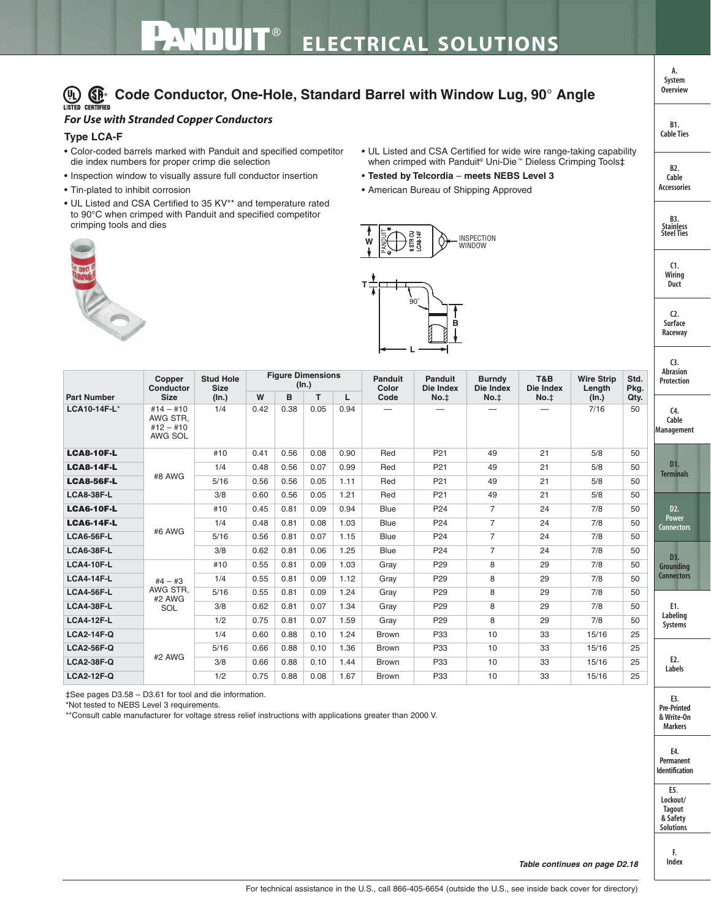## **Code Conductor, One-Hole, Standard Barrel with Window Lug, 90° Angle**

## *For Use with Stranded Copper Conductors*

## **Type LCA-F**

- Color-coded barrels marked with Panduit and specified competitor die index numbers for proper crimp die selection
- Inspection window to visually assure full conductor insertion
- Tin-plated to inhibit corrosion
- UL Listed and CSA Certified to 35 KV\*\* and temperature rated to 90°C when crimped with Panduit and specified competitor crimping tools and dies



- UL Listed and CSA Certified for wide wire range-taking capability when crimped with Panduit® Uni-Die™ Dieless Crimping Tools‡
- **Tested by Telcordia meets NEBS Level 3**
- American Bureau of Shipping Approved



| <b>Part Number</b> | Copper<br>Conductor<br><b>Size</b>                | <b>Stud Hole</b><br><b>Size</b><br>(In.) | <b>Figure Dimensions</b><br>(ln.) |      |      |      | Panduit<br>Color | Panduit<br>Die Index | <b>Burndy</b><br>Die Index | T&B<br>Die Index | <b>Wire Strip</b><br>Length | Std.<br>Pkg. | <b>Abrasion</b><br>Protection                         |  |
|--------------------|---------------------------------------------------|------------------------------------------|-----------------------------------|------|------|------|------------------|----------------------|----------------------------|------------------|-----------------------------|--------------|-------------------------------------------------------|--|
|                    |                                                   |                                          | W                                 | B    | T.   | L    | Code             | $No.+$               | No.‡                       | No. <sub>‡</sub> | (In.)                       | Qty.         |                                                       |  |
| LCA10-14F-L*       | $#14 - #10$<br>AWG STR.<br>$#12 - #10$<br>AWG SOL | 1/4                                      | 0.42                              | 0.38 | 0.05 | 0.94 |                  |                      |                            |                  | 7/16                        | 50           | C <sub>4</sub><br>Cable<br>Management                 |  |
| <b>LCA8-10F-L</b>  | #8 AWG                                            | #10                                      | 0.41                              | 0.56 | 0.08 | 0.90 | Red              | P <sub>21</sub>      | 49                         | 21               | 5/8                         | 50           | D1.<br><b>Terminals</b>                               |  |
| <b>LCA8-14F-L</b>  |                                                   | 1/4                                      | 0.48                              | 0.56 | 0.07 | 0.99 | Red              | P <sub>21</sub>      | 49                         | 21               | 5/8                         | 50           |                                                       |  |
| <b>LCA8-56F-L</b>  |                                                   | 5/16                                     | 0.56                              | 0.56 | 0.05 | 1.11 | Red              | P <sub>21</sub>      | 49                         | 21               | 5/8                         | 50           |                                                       |  |
| <b>LCA8-38F-L</b>  |                                                   | 3/8                                      | 0.60                              | 0.56 | 0.05 | 1.21 | Red              | P <sub>21</sub>      | 49                         | 21               | 5/8                         | 50           |                                                       |  |
| <b>LCA6-10F-L</b>  |                                                   | #10                                      | 0.45                              | 0.81 | 0.09 | 0.94 | <b>Blue</b>      | P <sub>24</sub>      | 7                          | 24               | 7/8                         | 50           | D <sub>2</sub> .<br><b>Power</b><br><b>Connectors</b> |  |
| <b>LCA6-14F-L</b>  | #6 AWG                                            | 1/4                                      | 0.48                              | 0.81 | 0.08 | 1.03 | <b>Blue</b>      | P <sub>24</sub>      | $\overline{7}$             | 24               | 7/8                         | 50           |                                                       |  |
| <b>LCA6-56F-L</b>  |                                                   | 5/16                                     | 0.56                              | 0.81 | 0.07 | 1.15 | <b>Blue</b>      | P <sub>24</sub>      | $\overline{7}$             | 24               | 7/8                         | 50           |                                                       |  |
| <b>LCA6-38F-L</b>  |                                                   | 3/8                                      | 0.62                              | 0.81 | 0.06 | 1.25 | <b>Blue</b>      | P <sub>24</sub>      | $\overline{7}$             | 24               | 7/8                         | 50           | D3.<br>Grounding                                      |  |
| <b>LCA4-10F-L</b>  |                                                   | #10                                      | 0.55                              | 0.81 | 0.09 | 1.03 | Gray             | P <sub>29</sub>      | 8                          | 29               | 7/8                         | 50           |                                                       |  |
| <b>LCA4-14F-L</b>  | $#4 - #3$                                         | 1/4                                      | 0.55                              | 0.81 | 0.09 | 1.12 | Gray             | P <sub>29</sub>      | 8                          | 29               | 7/8                         | 50           | <b>Connectors</b>                                     |  |
| <b>LCA4-56F-L</b>  | AWG STR.<br>#2 AWG<br>SOL                         | 5/16                                     | 0.55                              | 0.81 | 0.09 | 1.24 | Gray             | P <sub>29</sub>      | 8                          | 29               | 7/8                         | 50           |                                                       |  |
| <b>LCA4-38F-L</b>  |                                                   | 3/8                                      | 0.62                              | 0.81 | 0.07 | 1.34 | Gray             | P <sub>29</sub>      | 8                          | 29               | 7/8                         | 50           | E1.<br>Labeling<br><b>Systems</b>                     |  |
| <b>LCA4-12F-L</b>  |                                                   | 1/2                                      | 0.75                              | 0.81 | 0.07 | 1.59 | Gray             | P <sub>29</sub>      | 8                          | 29               | 7/8                         | 50           |                                                       |  |
| <b>LCA2-14F-Q</b>  | #2 AWG                                            | 1/4                                      | 0.60                              | 0.88 | 0.10 | 1.24 | <b>Brown</b>     | P33                  | 10                         | 33               | 15/16                       | 25           |                                                       |  |
| <b>LCA2-56F-Q</b>  |                                                   | 5/16                                     | 0.66                              | 0.88 | 0.10 | 1.36 | <b>Brown</b>     | P33                  | 10                         | 33               | 15/16                       | 25           | E <sub>2</sub> .<br>Labels                            |  |
| <b>LCA2-38F-Q</b>  |                                                   | 3/8                                      | 0.66                              | 0.88 | 0.10 | 1.44 | Brown            | P33                  | 10                         | 33               | 15/16                       | 25           |                                                       |  |
| <b>LCA2-12F-Q</b>  |                                                   | 1/2                                      | 0.75                              | 0.88 | 0.08 | 1.67 | <b>Brown</b>     | P33                  | 10                         | 33               | 15/16                       | 25           |                                                       |  |

‡See pages D3.58 – D3.61 for tool and die information.

\*Not tested to NEBS Level 3 requirements.

\*\*Consult cable manufacturer for voltage stress relief instructions with applications greater than 2000 V.

**E3. Pre-Printed & Write-On Markers**

**E4. Permanent Identification**

**E5. Lockout/ Tagout & Safety Solutions**

> **F. Index**

**Table continues on page D2.18**

**System Overview**

**A.**

**B1. Cable Ties**

**B2. Cable Accessories**

> **C1. Wiring Duct**

**C2. Surface Raceway**

**B3. Stainless Steel Ties**

**C3.**